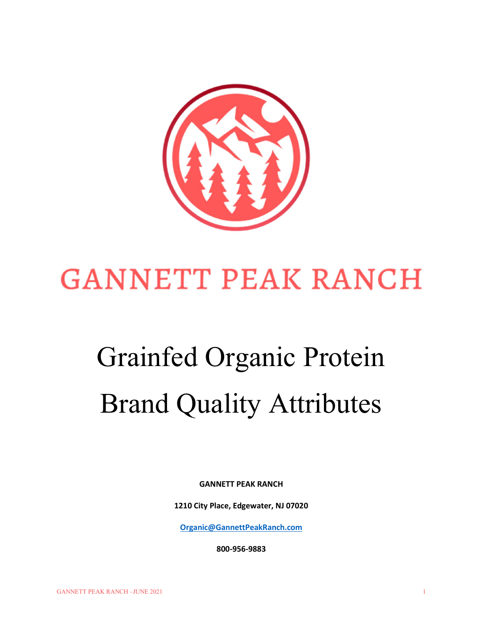

# **GANNETT PEAK RANCH**

# Grainfed Organic Protein Brand Quality Attributes

GANNETT PEAK RANCH

1210 City Place, Edgewater, NJ 07020

Organic@GannettPeakRanch.com

800-956-9883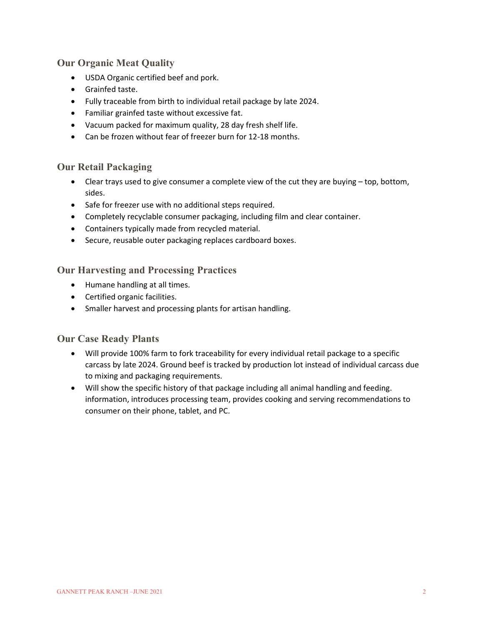#### Our Organic Meat Quality

- USDA Organic certified beef and pork.
- Grainfed taste.
- Fully traceable from birth to individual retail package by late 2024.
- Familiar grainfed taste without excessive fat.
- Vacuum packed for maximum quality, 28 day fresh shelf life.
- Can be frozen without fear of freezer burn for 12-18 months.

#### Our Retail Packaging

- Clear trays used to give consumer a complete view of the cut they are buying top, bottom, sides.
- Safe for freezer use with no additional steps required.
- Completely recyclable consumer packaging, including film and clear container.
- Containers typically made from recycled material.
- **•** Secure, reusable outer packaging replaces cardboard boxes.

#### Our Harvesting and Processing Practices

- Humane handling at all times.
- Certified organic facilities.
- Smaller harvest and processing plants for artisan handling.

#### Our Case Ready Plants

- Will provide 100% farm to fork traceability for every individual retail package to a specific carcass by late 2024. Ground beef is tracked by production lot instead of individual carcass due to mixing and packaging requirements.
- Will show the specific history of that package including all animal handling and feeding. information, introduces processing team, provides cooking and serving recommendations to consumer on their phone, tablet, and PC.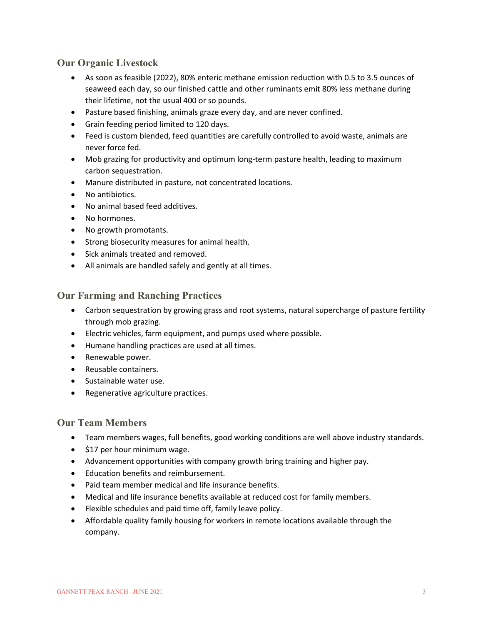#### Our Organic Livestock

- As soon as feasible (2022), 80% enteric methane emission reduction with 0.5 to 3.5 ounces of seaweed each day, so our finished cattle and other ruminants emit 80% less methane during their lifetime, not the usual 400 or so pounds.
- Pasture based finishing, animals graze every day, and are never confined.
- Grain feeding period limited to 120 days.
- Feed is custom blended, feed quantities are carefully controlled to avoid waste, animals are never force fed.
- Mob grazing for productivity and optimum long-term pasture health, leading to maximum carbon sequestration.
- Manure distributed in pasture, not concentrated locations.
- No antibiotics.
- No animal based feed additives.
- No hormones.
- No growth promotants.
- Strong biosecurity measures for animal health.
- Sick animals treated and removed.
- All animals are handled safely and gently at all times.

#### Our Farming and Ranching Practices

- Carbon sequestration by growing grass and root systems, natural supercharge of pasture fertility through mob grazing.
- Electric vehicles, farm equipment, and pumps used where possible.
- Humane handling practices are used at all times.
- Renewable power.
- Reusable containers.
- Sustainable water use.
- Regenerative agriculture practices.

#### Our Team Members

- Team members wages, full benefits, good working conditions are well above industry standards.
- $\bullet$  \$17 per hour minimum wage.
- Advancement opportunities with company growth bring training and higher pay.
- Education benefits and reimbursement.
- Paid team member medical and life insurance benefits.
- Medical and life insurance benefits available at reduced cost for family members.
- Flexible schedules and paid time off, family leave policy.
- Affordable quality family housing for workers in remote locations available through the company.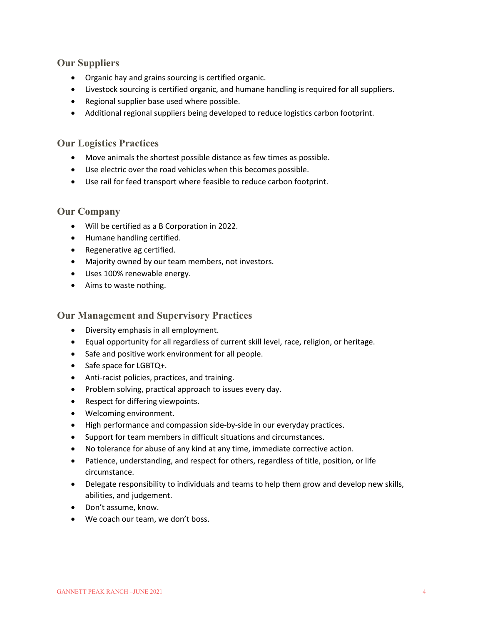#### Our Suppliers

- Organic hay and grains sourcing is certified organic.
- Livestock sourcing is certified organic, and humane handling is required for all suppliers.
- Regional supplier base used where possible.
- Additional regional suppliers being developed to reduce logistics carbon footprint.

#### Our Logistics Practices

- Move animals the shortest possible distance as few times as possible.
- Use electric over the road vehicles when this becomes possible.
- Use rail for feed transport where feasible to reduce carbon footprint.

#### Our Company

- Will be certified as a B Corporation in 2022.
- Humane handling certified.
- Regenerative ag certified.
- Majority owned by our team members, not investors.
- Uses 100% renewable energy.
- Aims to waste nothing.

Our Management and Supervisory Practices

- Diversity emphasis in all employment.
- Equal opportunity for all regardless of current skill level, race, religion, or heritage.
- Safe and positive work environment for all people.
- Safe space for LGBTQ+.
- Anti-racist policies, practices, and training.
- Problem solving, practical approach to issues every day.
- Respect for differing viewpoints.
- Welcoming environment.
- High performance and compassion side-by-side in our everyday practices.
- Support for team members in difficult situations and circumstances.
- No tolerance for abuse of any kind at any time, immediate corrective action.
- Patience, understanding, and respect for others, regardless of title, position, or life circumstance.
- Delegate responsibility to individuals and teams to help them grow and develop new skills, abilities, and judgement.
- Don't assume, know.
- We coach our team, we don't boss.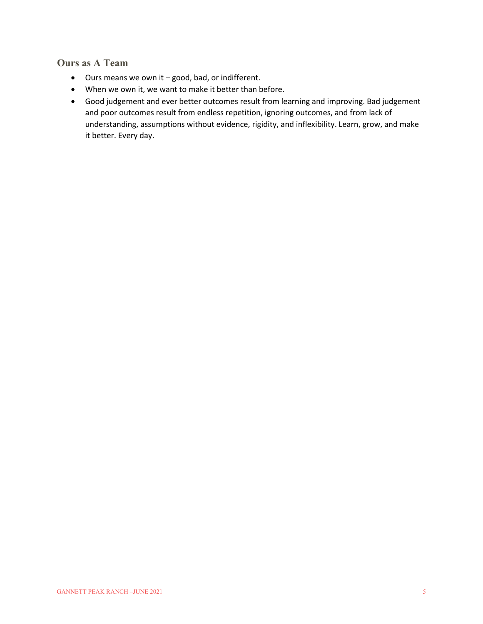### Ours as A Team

- Ours means we own it good, bad, or indifferent.
- When we own it, we want to make it better than before.
- Good judgement and ever better outcomes result from learning and improving. Bad judgement and poor outcomes result from endless repetition, ignoring outcomes, and from lack of understanding, assumptions without evidence, rigidity, and inflexibility. Learn, grow, and make it better. Every day.